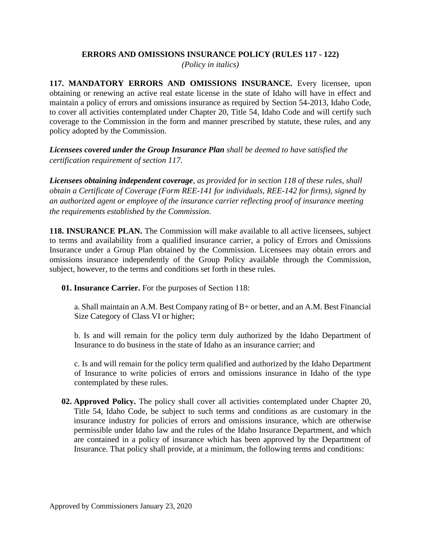## **ERRORS AND OMISSIONS INSURANCE POLICY (RULES 117 - 122)**

*(Policy in italics)*

**117. MANDATORY ERRORS AND OMISSIONS INSURANCE.** Every licensee, upon obtaining or renewing an active real estate license in the state of Idaho will have in effect and maintain a policy of errors and omissions insurance as required by Section 54-2013, Idaho Code, to cover all activities contemplated under Chapter 20, Title 54, Idaho Code and will certify such coverage to the Commission in the form and manner prescribed by statute, these rules, and any policy adopted by the Commission.

*Licensees covered under the Group Insurance Plan shall be deemed to have satisfied the certification requirement of section 117.*

*Licensees obtaining independent coverage, as provided for in section 118 of these rules, shall obtain a Certificate of Coverage (Form REE-141 for individuals, REE-142 for firms), signed by an authorized agent or employee of the insurance carrier reflecting proof of insurance meeting the requirements established by the Commission.*

**118. INSURANCE PLAN.** The Commission will make available to all active licensees, subject to terms and availability from a qualified insurance carrier, a policy of Errors and Omissions Insurance under a Group Plan obtained by the Commission. Licensees may obtain errors and omissions insurance independently of the Group Policy available through the Commission, subject, however, to the terms and conditions set forth in these rules.

**01. Insurance Carrier.** For the purposes of Section 118:

a. Shall maintain an A.M. Best Company rating of B+ or better, and an A.M. Best Financial Size Category of Class VI or higher;

b. Is and will remain for the policy term duly authorized by the Idaho Department of Insurance to do business in the state of Idaho as an insurance carrier; and

c. Is and will remain for the policy term qualified and authorized by the Idaho Department of Insurance to write policies of errors and omissions insurance in Idaho of the type contemplated by these rules.

**02. Approved Policy.** The policy shall cover all activities contemplated under Chapter 20, Title 54, Idaho Code, be subject to such terms and conditions as are customary in the insurance industry for policies of errors and omissions insurance, which are otherwise permissible under Idaho law and the rules of the Idaho Insurance Department, and which are contained in a policy of insurance which has been approved by the Department of Insurance. That policy shall provide, at a minimum, the following terms and conditions: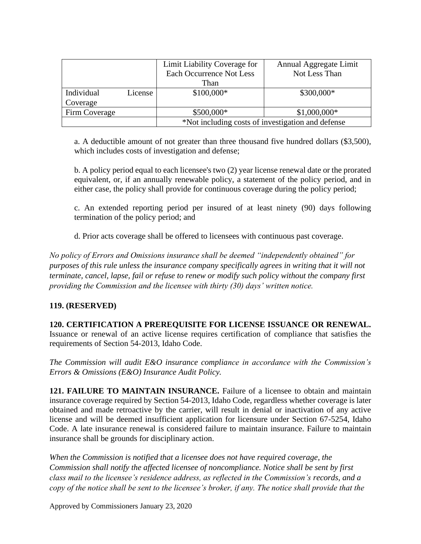|               |         | Limit Liability Coverage for                      | Annual Aggregate Limit |
|---------------|---------|---------------------------------------------------|------------------------|
|               |         | Each Occurrence Not Less                          | Not Less Than          |
|               |         | Than                                              |                        |
| Individual    | License | \$100,000*                                        | \$300,000*             |
| Coverage      |         |                                                   |                        |
| Firm Coverage |         | \$500,000*                                        | $$1,000,000*$          |
|               |         | *Not including costs of investigation and defense |                        |

a. A deductible amount of not greater than three thousand five hundred dollars (\$3,500), which includes costs of investigation and defense;

b. A policy period equal to each licensee's two (2) year license renewal date or the prorated equivalent, or, if an annually renewable policy, a statement of the policy period, and in either case, the policy shall provide for continuous coverage during the policy period;

c. An extended reporting period per insured of at least ninety (90) days following termination of the policy period; and

d. Prior acts coverage shall be offered to licensees with continuous past coverage.

*No policy of Errors and Omissions insurance shall be deemed "independently obtained" for purposes of this rule unless the insurance company specifically agrees in writing that it will not terminate, cancel, lapse, fail or refuse to renew or modify such policy without the company first providing the Commission and the licensee with thirty (30) days' written notice.*

## **119. (RESERVED)**

**120. CERTIFICATION A PREREQUISITE FOR LICENSE ISSUANCE OR RENEWAL.**  Issuance or renewal of an active license requires certification of compliance that satisfies the requirements of Section 54-2013, Idaho Code.

*The Commission will audit E&O insurance compliance in accordance with the Commission's Errors & Omissions (E&O) Insurance Audit Policy.* 

**121. FAILURE TO MAINTAIN INSURANCE.** Failure of a licensee to obtain and maintain insurance coverage required by Section 54-2013, Idaho Code, regardless whether coverage is later obtained and made retroactive by the carrier, will result in denial or inactivation of any active license and will be deemed insufficient application for licensure under Section 67-5254, Idaho Code. A late insurance renewal is considered failure to maintain insurance. Failure to maintain insurance shall be grounds for disciplinary action.

*When the Commission is notified that a licensee does not have required coverage, the Commission shall notify the affected licensee of noncompliance. Notice shall be sent by first class mail to the licensee's residence address, as reflected in the Commission's records, and a copy of the notice shall be sent to the licensee's broker, if any. The notice shall provide that the* 

Approved by Commissioners January 23, 2020